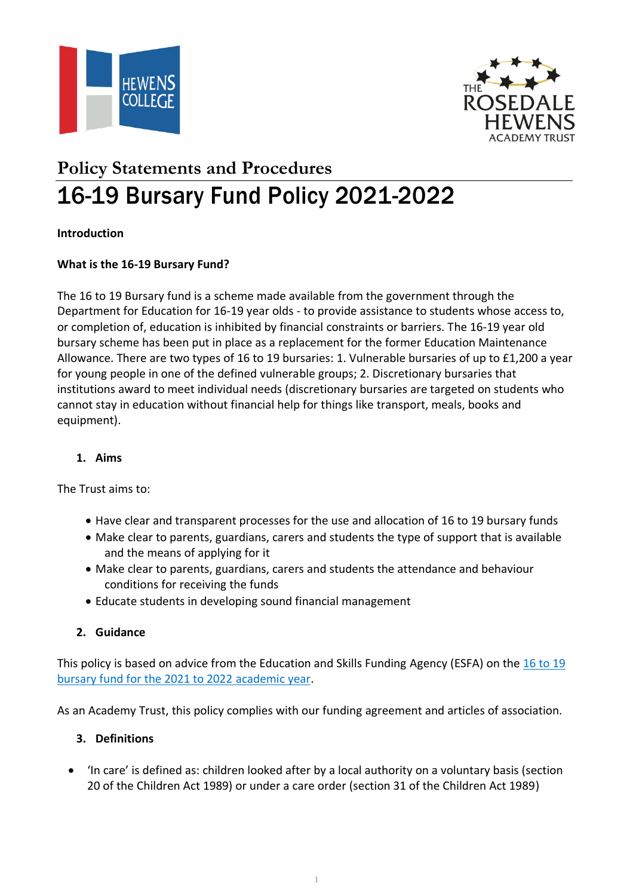



# **Policy Statements and Procedures** 16-19 Bursary Fund Policy 2021-2022

# **Introduction**

# **What is the 16-19 Bursary Fund?**

The 16 to 19 Bursary fund is a scheme made available from the government through the Department for Education for 16-19 year olds - to provide assistance to students whose access to, or completion of, education is inhibited by financial constraints or barriers. The 16-19 year old bursary scheme has been put in place as a replacement for the former Education Maintenance Allowance. There are two types of 16 to 19 bursaries: 1. Vulnerable bursaries of up to £1,200 a year for young people in one of the defined vulnerable groups; 2. Discretionary bursaries that institutions award to meet individual needs (discretionary bursaries are targeted on students who cannot stay in education without financial help for things like transport, meals, books and equipment).

# **1. Aims**

The Trust aims to:

- Have clear and transparent processes for the use and allocation of 16 to 19 bursary funds
- Make clear to parents, guardians, carers and students the type of support that is available and the means of applying for it
- Make clear to parents, guardians, carers and students the attendance and behaviour conditions for receiving the funds
- Educate students in developing sound financial management

# **2. Guidance**

This policy is based on advice from the Education and Skills Funding Agency (ESFA) on the 16 [to 19](https://www.gov.uk/guidance/16-to-19-bursary-fund-guide-2021-to-2022-academic-year)  [bursary fund for the 2021 to 2022](https://www.gov.uk/guidance/16-to-19-bursary-fund-guide-2021-to-2022-academic-year) academic year.

As an Academy Trust, this policy complies with our funding agreement and articles of association.

# **3. Definitions**

• 'In care' is defined as: children looked after by a local authority on a voluntary basis (section 20 of the Children Act 1989) or under a care order (section 31 of the Children Act 1989)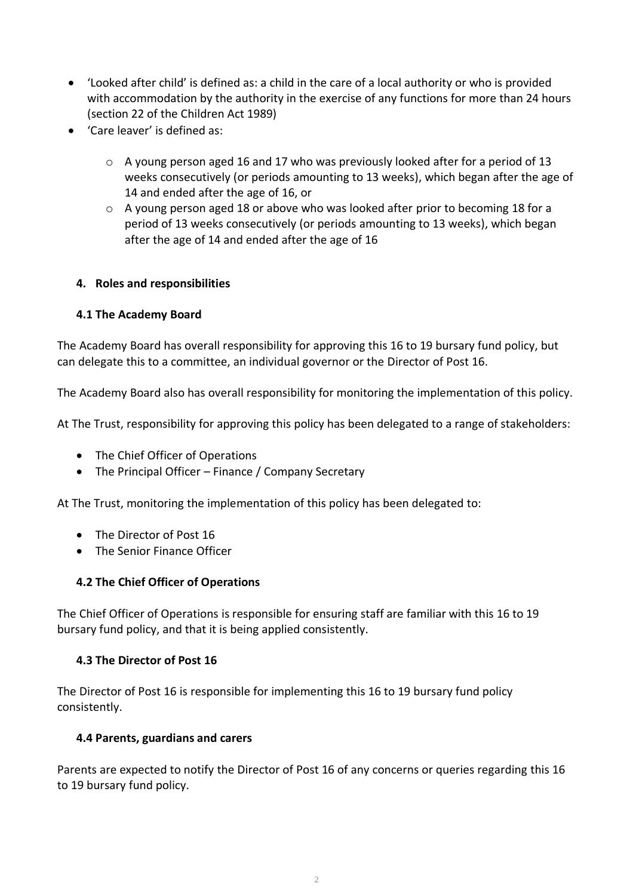- 'Looked after child' is defined as: a child in the care of a local authority or who is provided with accommodation by the authority in the exercise of any functions for more than 24 hours (section 22 of the Children Act 1989)
- 'Care leaver' is defined as:
	- o A young person aged 16 and 17 who was previously looked after for a period of 13 weeks consecutively (or periods amounting to 13 weeks), which began after the age of 14 and ended after the age of 16, or
	- $\circ$  A young person aged 18 or above who was looked after prior to becoming 18 for a period of 13 weeks consecutively (or periods amounting to 13 weeks), which began after the age of 14 and ended after the age of 16

# **4. Roles and responsibilities**

#### **4.1 The Academy Board**

The Academy Board has overall responsibility for approving this 16 to 19 bursary fund policy, but can delegate this to a committee, an individual governor or the Director of Post 16.

The Academy Board also has overall responsibility for monitoring the implementation of this policy.

At The Trust, responsibility for approving this policy has been delegated to a range of stakeholders:

- The Chief Officer of Operations
- The Principal Officer Finance / Company Secretary

At The Trust, monitoring the implementation of this policy has been delegated to:

- The Director of Post 16
- The Senior Finance Officer

# **4.2 The Chief Officer of Operations**

The Chief Officer of Operations is responsible for ensuring staff are familiar with this 16 to 19 bursary fund policy, and that it is being applied consistently.

#### **4.3 The Director of Post 16**

The Director of Post 16 is responsible for implementing this 16 to 19 bursary fund policy consistently.

#### **4.4 Parents, guardians and carers**

Parents are expected to notify the Director of Post 16 of any concerns or queries regarding this 16 to 19 bursary fund policy.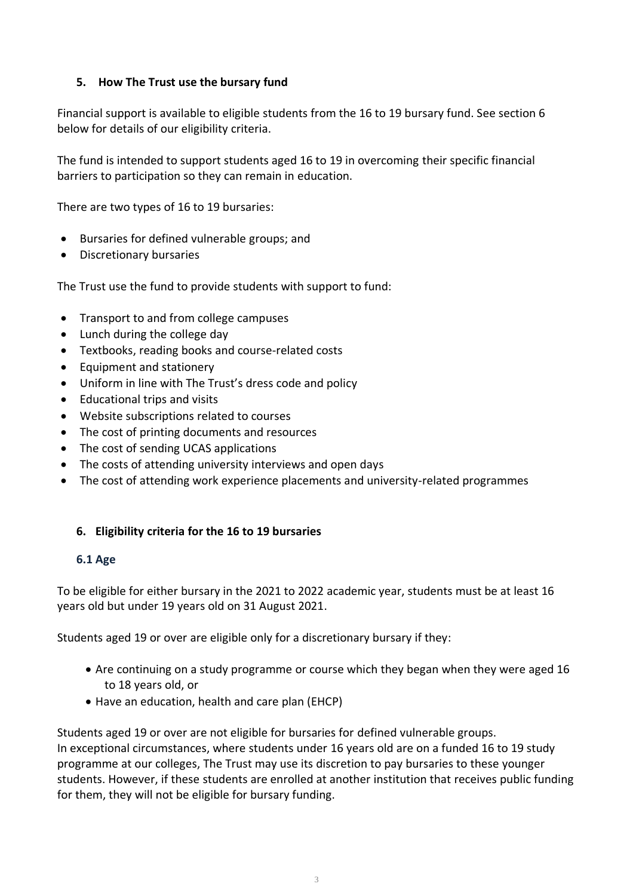# **5. How The Trust use the bursary fund**

Financial support is available to eligible students from the 16 to 19 bursary fund. See section 6 below for details of our eligibility criteria.

The fund is intended to support students aged 16 to 19 in overcoming their specific financial barriers to participation so they can remain in education.

There are two types of 16 to 19 bursaries:

- Bursaries for defined vulnerable groups; and
- Discretionary bursaries

The Trust use the fund to provide students with support to fund:

- Transport to and from college campuses
- Lunch during the college day
- Textbooks, reading books and course-related costs
- Equipment and stationery
- Uniform in line with The Trust's dress code and policy
- Educational trips and visits
- Website subscriptions related to courses
- The cost of printing documents and resources
- The cost of sending UCAS applications
- The costs of attending university interviews and open days
- The cost of attending work experience placements and university-related programmes

# **6. Eligibility criteria for the 16 to 19 bursaries**

# **6.1 Age**

To be eligible for either bursary in the 2021 to 2022 academic year, students must be at least 16 years old but under 19 years old on 31 August 2021.

Students aged 19 or over are eligible only for a discretionary bursary if they:

- Are continuing on a study programme or course which they began when they were aged 16 to 18 years old, or
- Have an education, health and care plan (EHCP)

Students aged 19 or over are not eligible for bursaries for defined vulnerable groups. In exceptional circumstances, where students under 16 years old are on a funded 16 to 19 study programme at our colleges, The Trust may use its discretion to pay bursaries to these younger students. However, if these students are enrolled at another institution that receives public funding for them, they will not be eligible for bursary funding.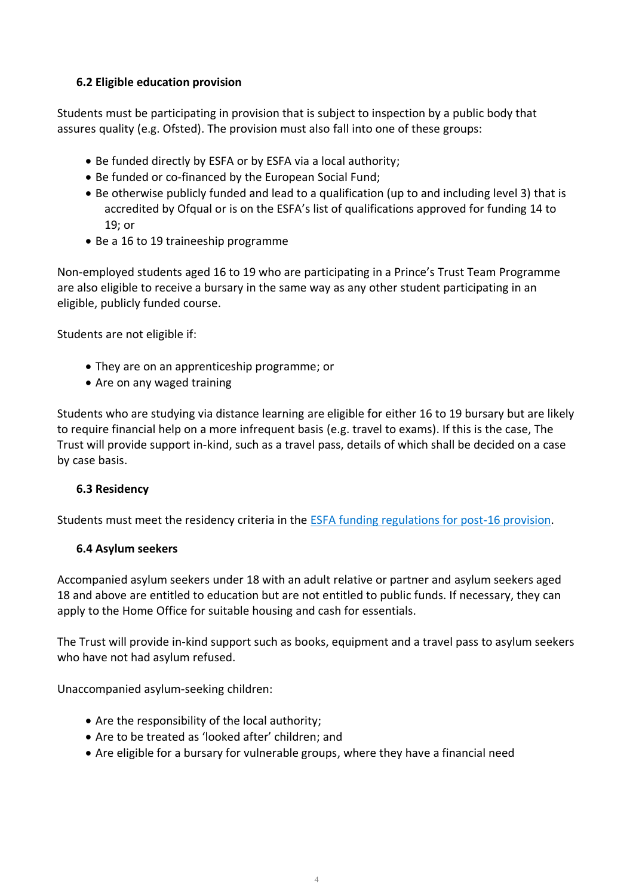# **6.2 Eligible education provision**

Students must be participating in provision that is subject to inspection by a public body that assures quality (e.g. Ofsted). The provision must also fall into one of these groups:

- Be funded directly by ESFA or by ESFA via a local authority;
- Be funded or co-financed by the European Social Fund;
- Be otherwise publicly funded and lead to a qualification (up to and including level 3) that is accredited by Ofqual or is on the ESFA's list of qualifications approved for funding 14 to 19; or
- Be a 16 to 19 traineeship programme

Non-employed students aged 16 to 19 who are participating in a Prince's Trust Team Programme are also eligible to receive a bursary in the same way as any other student participating in an eligible, publicly funded course.

Students are not eligible if:

- They are on an apprenticeship programme; or
- Are on any waged training

Students who are studying via distance learning are eligible for either 16 to 19 bursary but are likely to require financial help on a more infrequent basis (e.g. travel to exams). If this is the case, The Trust will provide support in-kind, such as a travel pass, details of which shall be decided on a case by case basis.

# **6.3 Residency**

Students must meet the residency criteria in the [ESFA funding regulations for post-16 provision.](https://www.gov.uk/government/publications/advice-funding-regulations-for-post-16-provision)

# **6.4 Asylum seekers**

Accompanied asylum seekers under 18 with an adult relative or partner and asylum seekers aged 18 and above are entitled to education but are not entitled to public funds. If necessary, they can apply to the Home Office for suitable housing and cash for essentials.

The Trust will provide in-kind support such as books, equipment and a travel pass to asylum seekers who have not had asylum refused.

Unaccompanied asylum-seeking children:

- Are the responsibility of the local authority;
- Are to be treated as 'looked after' children; and
- Are eligible for a bursary for vulnerable groups, where they have a financial need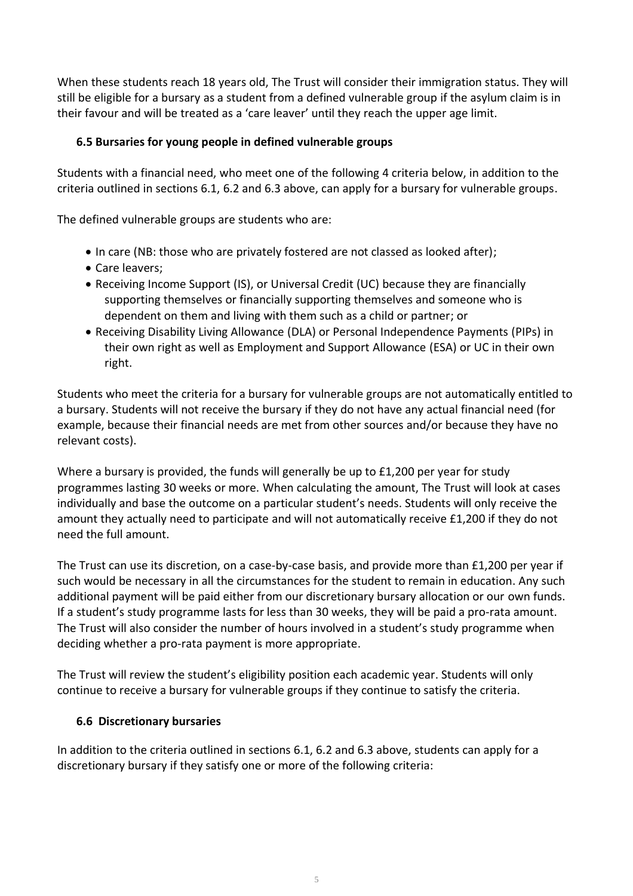When these students reach 18 years old, The Trust will consider their immigration status. They will still be eligible for a bursary as a student from a defined vulnerable group if the asylum claim is in their favour and will be treated as a 'care leaver' until they reach the upper age limit.

# **6.5 Bursaries for young people in defined vulnerable groups**

Students with a financial need, who meet one of the following 4 criteria below, in addition to the criteria outlined in sections 6.1, 6.2 and 6.3 above, can apply for a bursary for vulnerable groups.

The defined vulnerable groups are students who are:

- In care (NB: those who are privately fostered are not classed as looked after);
- Care leavers;
- Receiving Income Support (IS), or Universal Credit (UC) because they are financially supporting themselves or financially supporting themselves and someone who is dependent on them and living with them such as a child or partner; or
- Receiving Disability Living Allowance (DLA) or Personal Independence Payments (PIPs) in their own right as well as Employment and Support Allowance (ESA) or UC in their own right.

Students who meet the criteria for a bursary for vulnerable groups are not automatically entitled to a bursary. Students will not receive the bursary if they do not have any actual financial need (for example, because their financial needs are met from other sources and/or because they have no relevant costs).

Where a bursary is provided, the funds will generally be up to £1,200 per year for study programmes lasting 30 weeks or more. When calculating the amount, The Trust will look at cases individually and base the outcome on a particular student's needs. Students will only receive the amount they actually need to participate and will not automatically receive £1,200 if they do not need the full amount.

The Trust can use its discretion, on a case-by-case basis, and provide more than £1,200 per year if such would be necessary in all the circumstances for the student to remain in education. Any such additional payment will be paid either from our discretionary bursary allocation or our own funds. If a student's study programme lasts for less than 30 weeks, they will be paid a pro-rata amount. The Trust will also consider the number of hours involved in a student's study programme when deciding whether a pro-rata payment is more appropriate.

The Trust will review the student's eligibility position each academic year. Students will only continue to receive a bursary for vulnerable groups if they continue to satisfy the criteria.

# **6.6 Discretionary bursaries**

In addition to the criteria outlined in sections 6.1, 6.2 and 6.3 above, students can apply for a discretionary bursary if they satisfy one or more of the following criteria: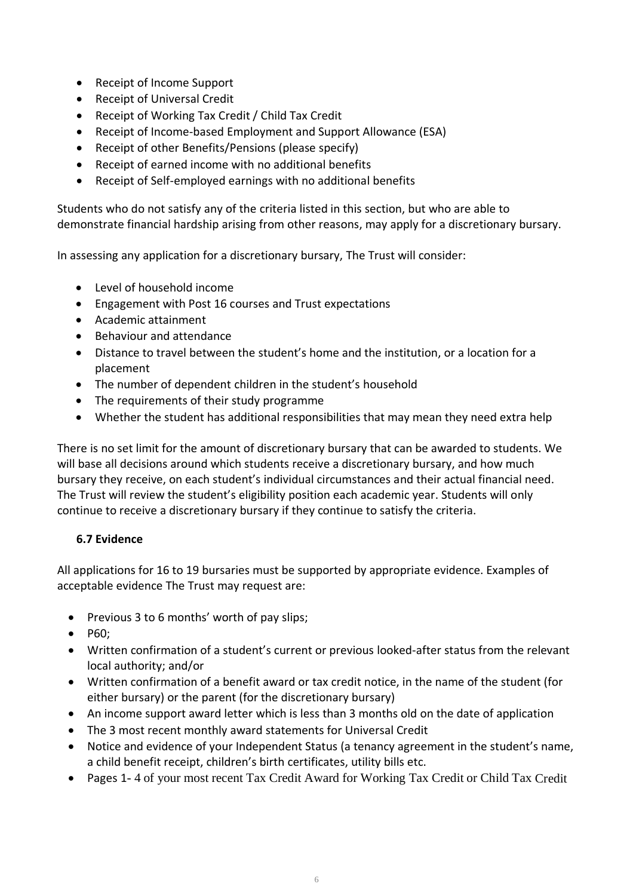- Receipt of Income Support
- Receipt of Universal Credit
- Receipt of Working Tax Credit / Child Tax Credit
- Receipt of Income-based Employment and Support Allowance (ESA)
- Receipt of other Benefits/Pensions (please specify)
- Receipt of earned income with no additional benefits
- Receipt of Self-employed earnings with no additional benefits

Students who do not satisfy any of the criteria listed in this section, but who are able to demonstrate financial hardship arising from other reasons, may apply for a discretionary bursary.

In assessing any application for a discretionary bursary, The Trust will consider:

- Level of household income
- Engagement with Post 16 courses and Trust expectations
- Academic attainment
- Behaviour and attendance
- Distance to travel between the student's home and the institution, or a location for a placement
- The number of dependent children in the student's household
- The requirements of their study programme
- Whether the student has additional responsibilities that may mean they need extra help

There is no set limit for the amount of discretionary bursary that can be awarded to students. We will base all decisions around which students receive a discretionary bursary, and how much bursary they receive, on each student's individual circumstances and their actual financial need. The Trust will review the student's eligibility position each academic year. Students will only continue to receive a discretionary bursary if they continue to satisfy the criteria.

# **6.7 Evidence**

All applications for 16 to 19 bursaries must be supported by appropriate evidence. Examples of acceptable evidence The Trust may request are:

- Previous 3 to 6 months' worth of pay slips;
- P60;
- Written confirmation of a student's current or previous looked-after status from the relevant local authority; and/or
- Written confirmation of a benefit award or tax credit notice, in the name of the student (for either bursary) or the parent (for the discretionary bursary)
- An income support award letter which is less than 3 months old on the date of application
- The 3 most recent monthly award statements for Universal Credit
- Notice and evidence of your Independent Status (a tenancy agreement in the student's name, a child benefit receipt, children's birth certificates, utility bills etc.
- Pages 1- 4 of your most recent Tax Credit Award for Working Tax Credit or Child Tax Credit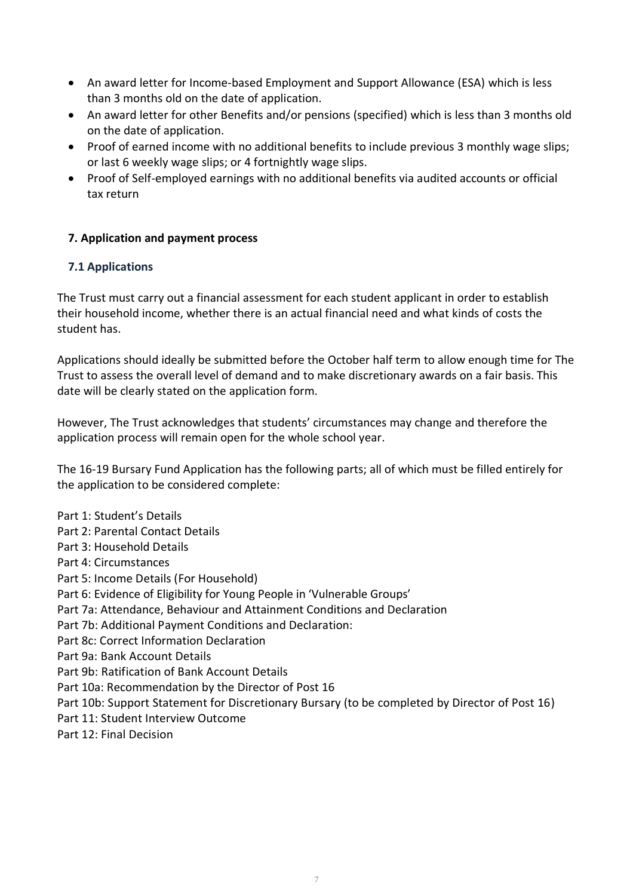- An award letter for Income-based Employment and Support Allowance (ESA) which is less than 3 months old on the date of application.
- An award letter for other Benefits and/or pensions (specified) which is less than 3 months old on the date of application.
- Proof of earned income with no additional benefits to include previous 3 monthly wage slips; or last 6 weekly wage slips; or 4 fortnightly wage slips.
- Proof of Self-employed earnings with no additional benefits via audited accounts or official tax return

# **7. Application and payment process**

# **7.1 Applications**

The Trust must carry out a financial assessment for each student applicant in order to establish their household income, whether there is an actual financial need and what kinds of costs the student has.

Applications should ideally be submitted before the October half term to allow enough time for The Trust to assess the overall level of demand and to make discretionary awards on a fair basis. This date will be clearly stated on the application form.

However, The Trust acknowledges that students' circumstances may change and therefore the application process will remain open for the whole school year.

The 16-19 Bursary Fund Application has the following parts; all of which must be filled entirely for the application to be considered complete:

- Part 1: Student's Details
- Part 2: Parental Contact Details
- Part 3: Household Details
- Part 4: Circumstances
- Part 5: Income Details (For Household)

Part 6: Evidence of Eligibility for Young People in 'Vulnerable Groups'

- Part 7a: Attendance, Behaviour and Attainment Conditions and Declaration
- Part 7b: Additional Payment Conditions and Declaration:
- Part 8c: Correct Information Declaration
- Part 9a: Bank Account Details
- Part 9b: Ratification of Bank Account Details
- Part 10a: Recommendation by the Director of Post 16
- Part 10b: Support Statement for Discretionary Bursary (to be completed by Director of Post 16)
- Part 11: Student Interview Outcome
- Part 12: Final Decision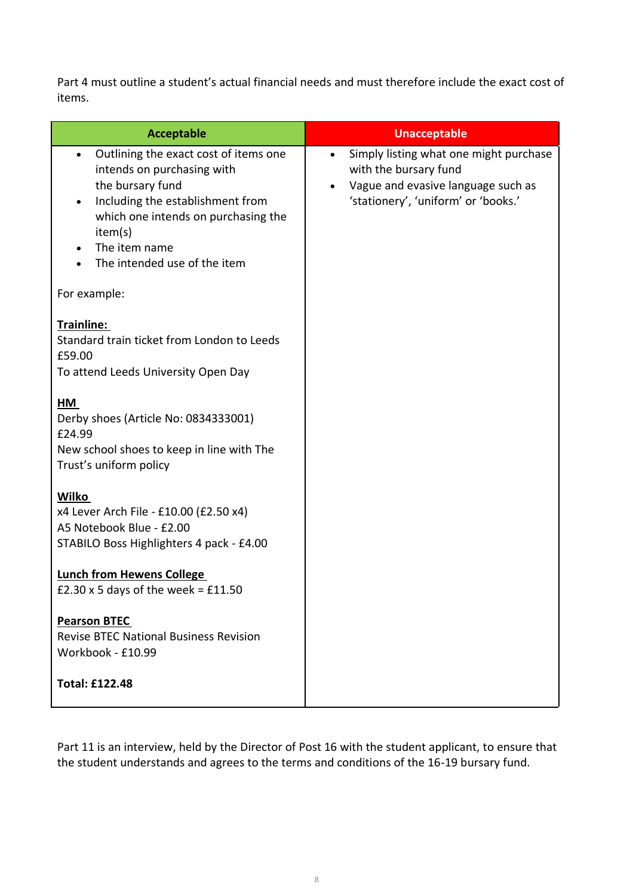Part 4 must outline a student's actual financial needs and must therefore include the exact cost of items.

| <b>Acceptable</b>                                                                                                                                                                                                                           | <b>Unacceptable</b>                                                                                                                                       |
|---------------------------------------------------------------------------------------------------------------------------------------------------------------------------------------------------------------------------------------------|-----------------------------------------------------------------------------------------------------------------------------------------------------------|
| Outlining the exact cost of items one<br>$\bullet$<br>intends on purchasing with<br>the bursary fund<br>Including the establishment from<br>which one intends on purchasing the<br>item(s)<br>The item name<br>The intended use of the item | Simply listing what one might purchase<br>$\bullet$<br>with the bursary fund<br>Vague and evasive language such as<br>'stationery', 'uniform' or 'books.' |
| For example:                                                                                                                                                                                                                                |                                                                                                                                                           |
| Trainline:<br>Standard train ticket from London to Leeds<br>£59.00<br>To attend Leeds University Open Day                                                                                                                                   |                                                                                                                                                           |
| HM<br>Derby shoes (Article No: 0834333001)<br>£24.99<br>New school shoes to keep in line with The<br>Trust's uniform policy                                                                                                                 |                                                                                                                                                           |
| Wilko<br>x4 Lever Arch File - £10.00 (£2.50 x4)<br>A5 Notebook Blue - £2.00<br>STABILO Boss Highlighters 4 pack - £4.00                                                                                                                     |                                                                                                                                                           |
| <b>Lunch from Hewens College</b><br>£2.30 x 5 days of the week = £11.50                                                                                                                                                                     |                                                                                                                                                           |
| <b>Pearson BTEC</b><br><b>Revise BTEC National Business Revision</b><br>Workbook - £10.99                                                                                                                                                   |                                                                                                                                                           |
| <b>Total: £122.48</b>                                                                                                                                                                                                                       |                                                                                                                                                           |

Part 11 is an interview, held by the Director of Post 16 with the student applicant, to ensure that the student understands and agrees to the terms and conditions of the 16-19 bursary fund.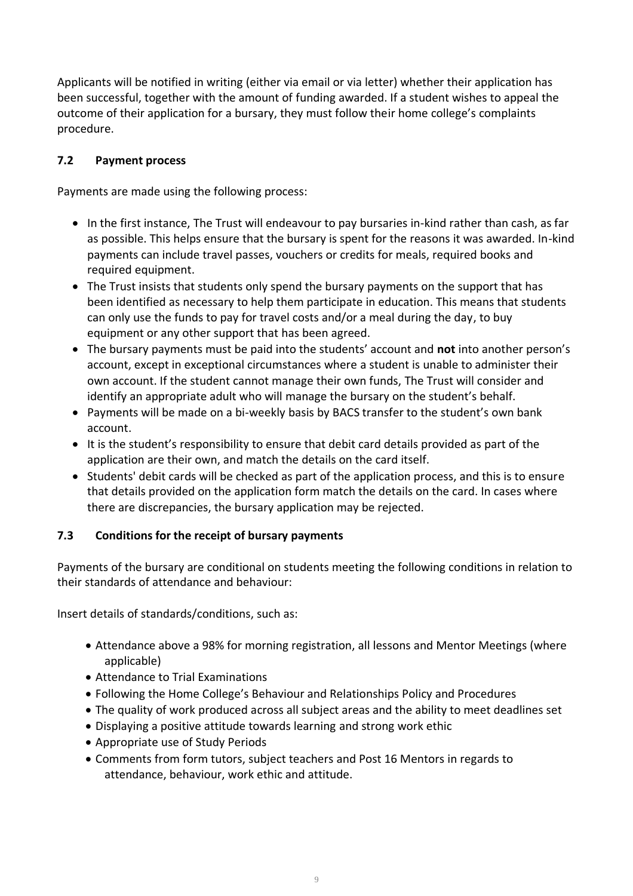Applicants will be notified in writing (either via email or via letter) whether their application has been successful, together with the amount of funding awarded. If a student wishes to appeal the outcome of their application for a bursary, they must follow their home college's complaints procedure.

# **7.2 Payment process**

Payments are made using the following process:

- In the first instance, The Trust will endeavour to pay bursaries in-kind rather than cash, as far as possible. This helps ensure that the bursary is spent for the reasons it was awarded. In-kind payments can include travel passes, vouchers or credits for meals, required books and required equipment.
- The Trust insists that students only spend the bursary payments on the support that has been identified as necessary to help them participate in education. This means that students can only use the funds to pay for travel costs and/or a meal during the day, to buy equipment or any other support that has been agreed.
- The bursary payments must be paid into the students' account and **not** into another person's account, except in exceptional circumstances where a student is unable to administer their own account. If the student cannot manage their own funds, The Trust will consider and identify an appropriate adult who will manage the bursary on the student's behalf.
- Payments will be made on a bi-weekly basis by BACS transfer to the student's own bank account.
- It is the student's responsibility to ensure that debit card details provided as part of the application are their own, and match the details on the card itself.
- Students' debit cards will be checked as part of the application process, and this is to ensure that details provided on the application form match the details on the card. In cases where there are discrepancies, the bursary application may be rejected.

# **7.3 Conditions for the receipt of bursary payments**

Payments of the bursary are conditional on students meeting the following conditions in relation to their standards of attendance and behaviour:

Insert details of standards/conditions, such as:

- Attendance above a 98% for morning registration, all lessons and Mentor Meetings (where applicable)
- Attendance to Trial Examinations
- Following the Home College's Behaviour and Relationships Policy and Procedures
- The quality of work produced across all subject areas and the ability to meet deadlines set
- Displaying a positive attitude towards learning and strong work ethic
- Appropriate use of Study Periods
- Comments from form tutors, subject teachers and Post 16 Mentors in regards to attendance, behaviour, work ethic and attitude.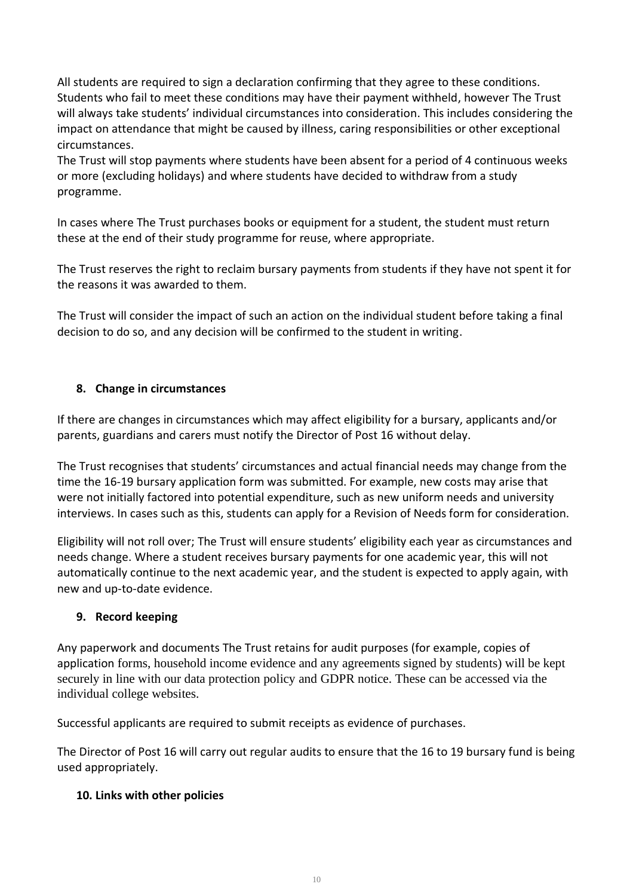All students are required to sign a declaration confirming that they agree to these conditions. Students who fail to meet these conditions may have their payment withheld, however The Trust will always take students' individual circumstances into consideration. This includes considering the impact on attendance that might be caused by illness, caring responsibilities or other exceptional circumstances.

The Trust will stop payments where students have been absent for a period of 4 continuous weeks or more (excluding holidays) and where students have decided to withdraw from a study programme.

In cases where The Trust purchases books or equipment for a student, the student must return these at the end of their study programme for reuse, where appropriate.

The Trust reserves the right to reclaim bursary payments from students if they have not spent it for the reasons it was awarded to them.

The Trust will consider the impact of such an action on the individual student before taking a final decision to do so, and any decision will be confirmed to the student in writing.

# **8. Change in circumstances**

If there are changes in circumstances which may affect eligibility for a bursary, applicants and/or parents, guardians and carers must notify the Director of Post 16 without delay.

The Trust recognises that students' circumstances and actual financial needs may change from the time the 16-19 bursary application form was submitted. For example, new costs may arise that were not initially factored into potential expenditure, such as new uniform needs and university interviews. In cases such as this, students can apply for a Revision of Needs form for consideration.

Eligibility will not roll over; The Trust will ensure students' eligibility each year as circumstances and needs change. Where a student receives bursary payments for one academic year, this will not automatically continue to the next academic year, and the student is expected to apply again, with new and up-to-date evidence.

# **9. Record keeping**

Any paperwork and documents The Trust retains for audit purposes (for example, copies of application forms, household income evidence and any agreements signed by students) will be kept securely in line with our data protection policy and GDPR notice. These can be accessed via the individual college websites.

Successful applicants are required to submit receipts as evidence of purchases.

The Director of Post 16 will carry out regular audits to ensure that the 16 to 19 bursary fund is being used appropriately.

# **10. Links with other policies**